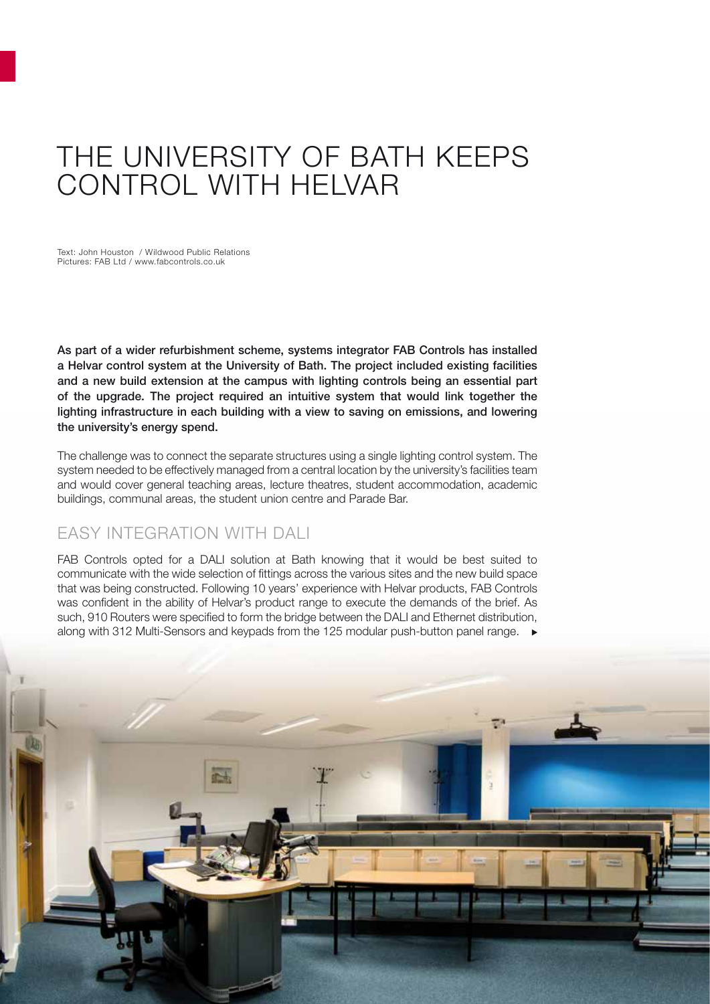## THE UNIVERSITY OF BATH KEEPS CONTROL WITH HELVAR

Text: John Houston / Wildwood Public Relations Pictures: FAB Ltd / www.fabcontrols.co.uk

As part of a wider refurbishment scheme, systems integrator FAB Controls has installed a Helvar control system at the University of Bath. The project included existing facilities and a new build extension at the campus with lighting controls being an essential part of the upgrade. The project required an intuitive system that would link together the lighting infrastructure in each building with a view to saving on emissions, and lowering the university's energy spend.

The challenge was to connect the separate structures using a single lighting control system. The system needed to be effectively managed from a central location by the university's facilities team and would cover general teaching areas, lecture theatres, student accommodation, academic buildings, communal areas, the student union centre and Parade Bar.

## EASY INTEGRATION WITH DALI

FAB Controls opted for a DALI solution at Bath knowing that it would be best suited to communicate with the wide selection of fittings across the various sites and the new build space that was being constructed. Following 10 years' experience with Helvar products, FAB Controls was confident in the ability of Helvar's product range to execute the demands of the brief. As such, 910 Routers were specified to form the bridge between the DALI and Ethernet distribution, along with 312 Multi-Sensors and keypads from the 125 modular push-button panel range. ▶

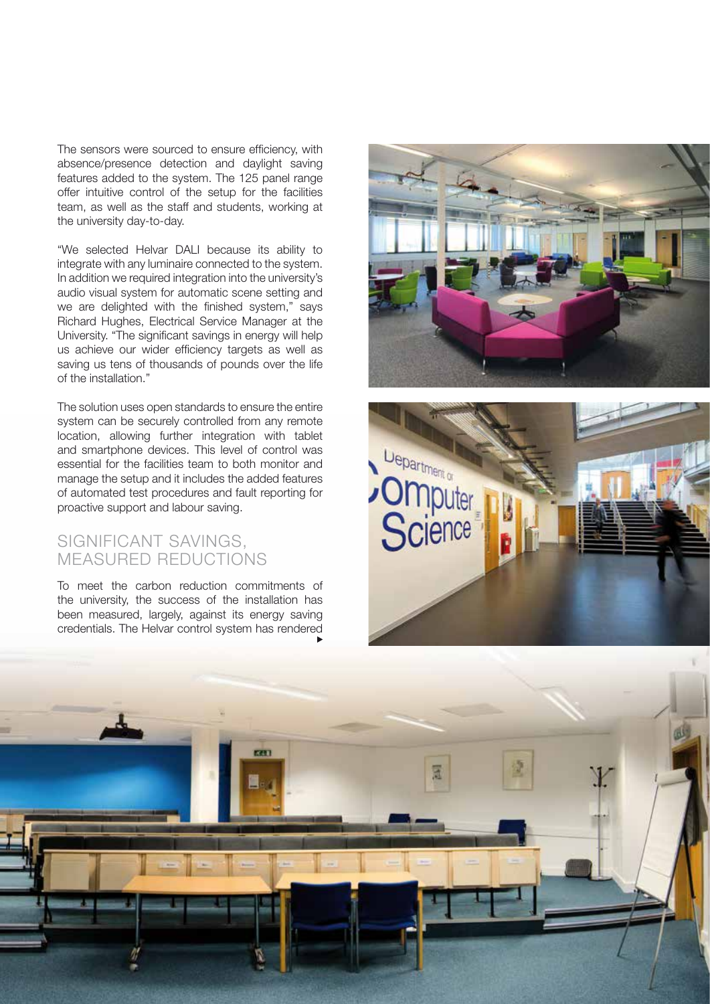The sensors were sourced to ensure efficiency, with absence/presence detection and daylight saving features added to the system. The 125 panel range offer intuitive control of the setup for the facilities team, as well as the staff and students, working at the university day-to-day.

"We selected Helvar DALI because its ability to integrate with any luminaire connected to the system. In addition we required integration into the university's audio visual system for automatic scene setting and we are delighted with the finished system," says Richard Hughes, Electrical Service Manager at the University. "The significant savings in energy will help us achieve our wider efficiency targets as well as saving us tens of thousands of pounds over the life of the installation."

The solution uses open standards to ensure the entire system can be securely controlled from any remote location, allowing further integration with tablet and smartphone devices. This level of control was essential for the facilities team to both monitor and manage the setup and it includes the added features of automated test procedures and fault reporting for proactive support and labour saving.

## SIGNIFICANT SAVINGS, MEASURED REDUCTIONS

To meet the carbon reduction commitments of the university, the success of the installation has been measured, largely, against its energy saving credentials. The Helvar control system has rendered





2 / 2012 • News 9